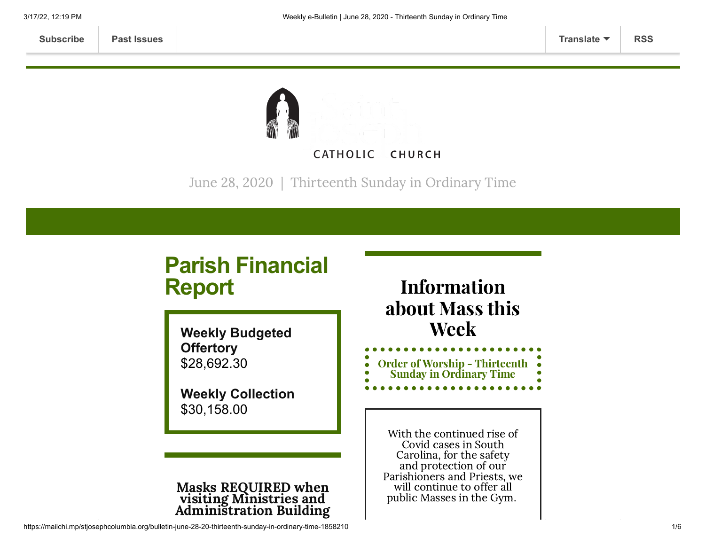

June 28, 2020 | Thirteenth Sunday in Ordinary Time

# **Parish Financial Report**

**Weekly Budgeted Offertory** \$28,692.30

**Weekly Collection** \$30,158.00

#### Masks REQUIRED when visiting Ministries and Administration Building

### Information about Mass this Week

| <b>Order of Worship - Thirteenth</b> | $\bullet$ |
|--------------------------------------|-----------|
| <b>Sunday in Ordinary Time</b>       | Ω         |
|                                      |           |

With the continued rise of Covid cases in South Carolina, for the safety and protection of our Parishioners and Priests, we will continue to offer all public Masses in the Gym.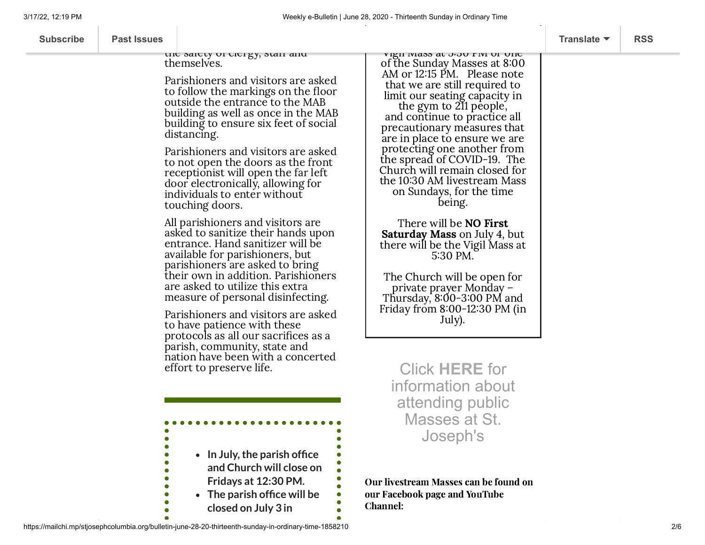|                    | Weekly e-Bulletin   June 28, 2020 - Thirteenth Sunday in Ordinary Time                                                                                                                                                                                                                                                                                                                                                                                                                                                                                                                                                                                                                                                                                                          |                                                                                                                                                                                                                                                                                                                                                                                                                                                                                                                                                                                                                                                                                                                    |                                         |            |  |  |
|--------------------|---------------------------------------------------------------------------------------------------------------------------------------------------------------------------------------------------------------------------------------------------------------------------------------------------------------------------------------------------------------------------------------------------------------------------------------------------------------------------------------------------------------------------------------------------------------------------------------------------------------------------------------------------------------------------------------------------------------------------------------------------------------------------------|--------------------------------------------------------------------------------------------------------------------------------------------------------------------------------------------------------------------------------------------------------------------------------------------------------------------------------------------------------------------------------------------------------------------------------------------------------------------------------------------------------------------------------------------------------------------------------------------------------------------------------------------------------------------------------------------------------------------|-----------------------------------------|------------|--|--|
| <b>Past Issues</b> |                                                                                                                                                                                                                                                                                                                                                                                                                                                                                                                                                                                                                                                                                                                                                                                 |                                                                                                                                                                                                                                                                                                                                                                                                                                                                                                                                                                                                                                                                                                                    | Translate $\blacktriangledown$          | <b>RSS</b> |  |  |
|                    | uit saitly ui titigy, stail ailu<br>themselves.<br>Parishioners and visitors are asked<br>to follow the markings on the floor<br>outside the entrance to the MAB<br>building as well as once in the MAB<br>building to ensure six feet of social<br>distancing.<br>Parishioners and visitors are asked<br>to not open the doors as the front<br>receptionist will open the far left<br>door electronically, allowing for<br>individuals to enter without<br>touching doors.<br>All parishioners and visitors are<br>asked to sanitize their hands upon<br>entrance. Hand sanitizer will be<br>available for parishioners, but<br>parishioners are asked to bring<br>their own in addition. Parishioners<br>are asked to utilize this extra<br>measure of personal disinfecting. | νιχιι ινιαδδ αι υπου τινι υι υπτ<br>of the Sunday Masses at 8:00<br>AM or 12:15 PM. Please note<br>that we are still required to<br>limit our seating capacity in<br>the gym to 211 people,<br>and continue to practice all<br>precautionary measures that<br>are in place to ensure we are<br>protecting one another from<br>the spread of COVID-19. The<br>Church will remain closed for<br>the 10:30 AM livestream Mass<br>on Sundays, for the time<br>being.<br>There will be <b>NO First</b><br><b>Saturday Mass</b> on July 4, but<br>there will be the Vigil Mass at<br>5:30 PM.<br>The Church will be open for<br>private prayer Monday –<br>Thursday, $8:00-3:00$ PM and<br>Friday from 8:00-12:30 PM (in |                                         |            |  |  |
|                    | • In July, the parish office<br>and Church will close on<br>Fridays at 12:30 PM.                                                                                                                                                                                                                                                                                                                                                                                                                                                                                                                                                                                                                                                                                                | <b>Click HERE for</b><br>information about<br>attending public<br>Masses at St.<br>Joseph's<br>Our livestream Masses can be found on                                                                                                                                                                                                                                                                                                                                                                                                                                                                                                                                                                               |                                         |            |  |  |
|                    |                                                                                                                                                                                                                                                                                                                                                                                                                                                                                                                                                                                                                                                                                                                                                                                 | Parishioners and visitors are asked<br>to have patience with these<br>protocols as all our sacrifices as a<br>parish, community, state and<br>nation have been with a concerted<br>effort to preserve life.<br>• The parish office will be                                                                                                                                                                                                                                                                                                                                                                                                                                                                         | July).<br>our Facebook page and YouTube |            |  |  |

Channel:

 $\ddot{\bullet}$ 

 $\bullet$ 

https://mailchi.mp/stjosephcolumbia.org/bulletin-june-28-20-thirteenth-sunday-in-ordinary-time-1858210 2/6

 $\bullet$ 

**closed on July 3 in**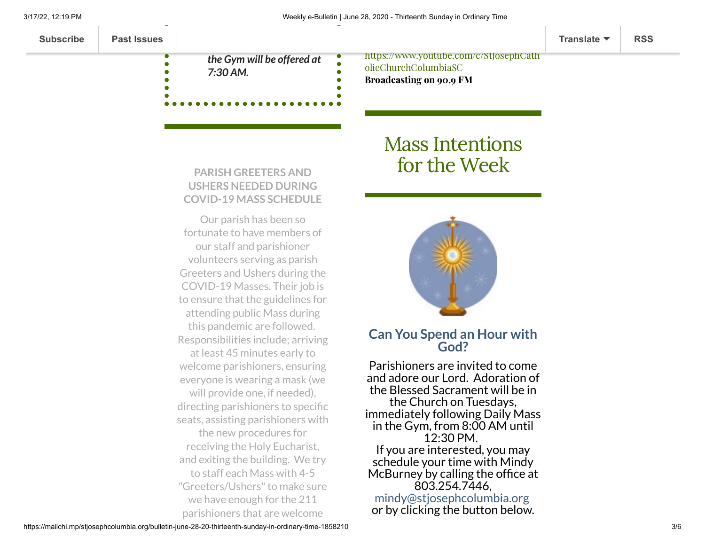Broadcasting on 90.9 FM

| <b>Subscribe</b> | <b>Past Issues</b> |                            |                                        | Translate $\blacktriangledown$ | <b>RSS</b> |
|------------------|--------------------|----------------------------|----------------------------------------|--------------------------------|------------|
|                  |                    | the Gym will be offered at | https://www.youtube.com/c/StJosephCath |                                |            |
|                  |                    | $\Rightarrow$              | olicChurchColumbiaSC                   |                                |            |

**PARISH GREETERS AND**

*7:30 AM.*

### **USHERS NEEDED DURING COVID-19 MASS SCHEDULE**

Our parish has been so fortunate to have members of our staff and parishioner volunteers serving as parish Greeters and Ushers during the COVID-19 Masses. Their job is to ensure that the guidelines for attending public Mass during this pandemic are followed. Responsibilities include; arriving at least 45 minutes early to welcome parishioners, ensuring everyone is wearing a mask (we will provide one, if needed), directing parishioners to specific seats, assisting parishioners with the new procedures for receiving the Holy Eucharist, and exiting the building. We try to staff each Mass with 4-5 "Greeters/Ushers" to make sure we have enough for the 211 parishioners that are welcome

## Mass [Intentions](https://www.stjosephcolumbia.org/mass-intentions) for the Week



#### **Can You Spend an Hour with God?**

Parishioners are invited to come and adore our Lord. Adoration of the Blessed Sacrament will be in the Church on Tuesdays, immediately following Daily Mass in the Gym, from 8:00 AM until 12:30 PM. If you are interested, you may schedule your time with Mindy McBurney by calling the office at 803.254.7446, [mindy@stjosephcolumbia.org](mailto:mindy@stjosephcolumbia.org) or by clicking the button below.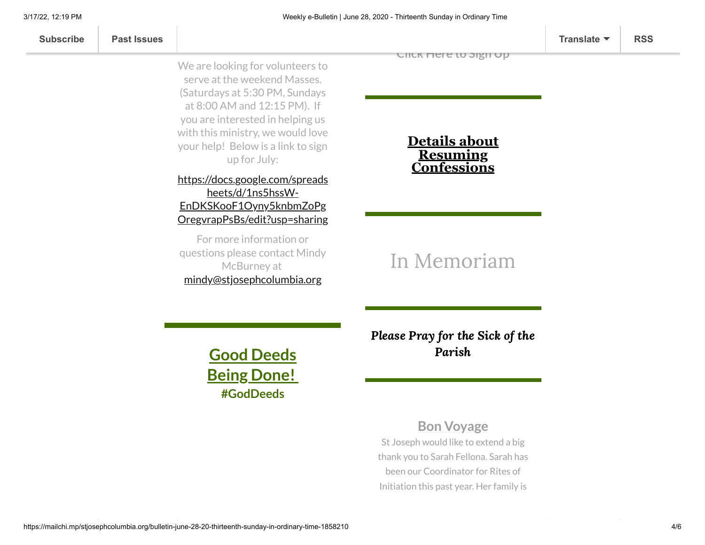We are looking for volunteers to serve at the weekend Masses. (Saturdays at 5:30 PM, Sundays at 8:00 AM and 12:15 PM). If you are interested in helping us with this ministry, we would love your help! Below is a link to sign up for July:

#### [https://docs.google.com/spreads](https://docs.google.com/spreadsheets/d/1ns5hssW-EnDKSKooF1Oyny5knbmZoPgOregvrapPsBs/edit?usp=sharing) heets/d/1ns5hssW-EnDKSKooF1Oyny5knbmZoPg OregvrapPsBs/edit?usp=sharing

For more information or questions please contact Mindy McBurney at [mindy@stjosephcolumbia.org](mailto:mindy@stjosephcolumbia.org)

**[Click](https://docs.google.com/spreadsheets/d/1_dTEct9XFytcGvuISPXwIwzveGYhr1hTnFHUFXWCZOo/edit?usp=sharing) Here to Sign Up**

**Details about Resuming [Confessions](https://www.stjosephcolumbia.org/confessions)**

### In [Memoriam](https://www.stjosephcolumbia.org/in-memoriam)

**Good Deeds Being Done! #GodDeeds**

Please Pray for the Sick of the [Parish](https://www.stjosephcolumbia.org/pray-for-the-homebound-sick-of-pari)

### **Bon Voyage**

St Joseph would like to extend a big thank you to Sarah Fellona. Sarah has been our Coordinator for Rites of Initiation this past year. Her family is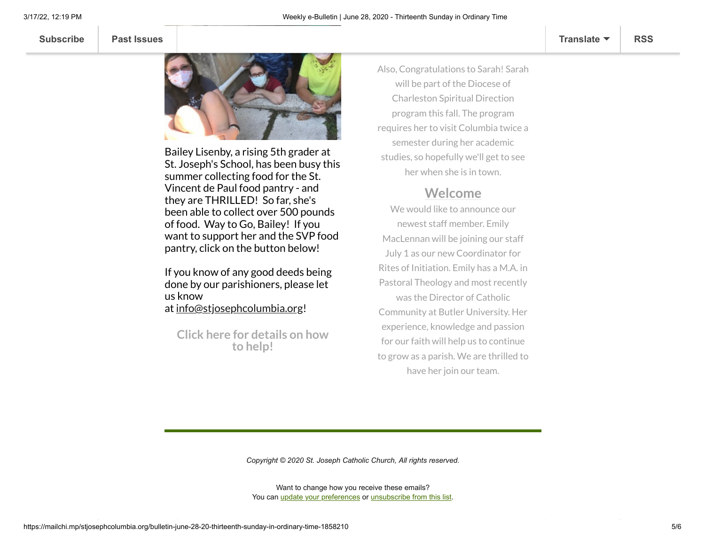

Bailey Lisenby, a rising 5th grader at St. Joseph's School, has been busy this summer collecting food for the St. Vincent de Paul food pantry - and they are THRILLED! So far, she's been able to collect over 500 pounds of food. Way to Go, Bailey! If you want to support her and the SVP food pantry, click on the button below!

If you know of any good deeds being done by our parishioners, please let us know at [info@stjosephcolumbia.org](mailto:info@stjosephcolumbia.org)!

**Click here for [details](https://mcusercontent.com/7399f6b35c8ab775fb1714c3d/files/439dba59-5e2b-4cbc-b755-51651727f3ea/bailey_Summer_Project.pdf) on how to help!**

Also, Congratulations to Sarah! Sarah will be part of the Diocese of Charleston Spiritual Direction program this fall. The program requires her to visit Columbia twice a semester during her academic studies, so hopefully we'll get to see her when she is in town.

#### **Welcome**

We would like to announce our newest staff member. Emily MacLennan will be joining our staff July 1 as our new Coordinator for Rites of Initiation. Emily has a M.A. in Pastoral Theology and most recently was the Director of Catholic Community at Butler University. Her experience, knowledge and passion for our faith will help us to continue to grow as a parish. We are thrilled to have her join our team.

*Copyright © 2020 St. Joseph Catholic Church, All rights reserved.*

Want to change how you receive these emails? You can [update your preferences](https://stjosephcolumbia.us9.list-manage.com/profile?u=7399f6b35c8ab775fb1714c3d&id=770b4a80d3&e=[UNIQID]&c=9bd52b4453) or [unsubscribe from this list](https://stjosephcolumbia.us9.list-manage.com/unsubscribe?u=7399f6b35c8ab775fb1714c3d&id=770b4a80d3&e=[UNIQID]&c=9bd52b4453).